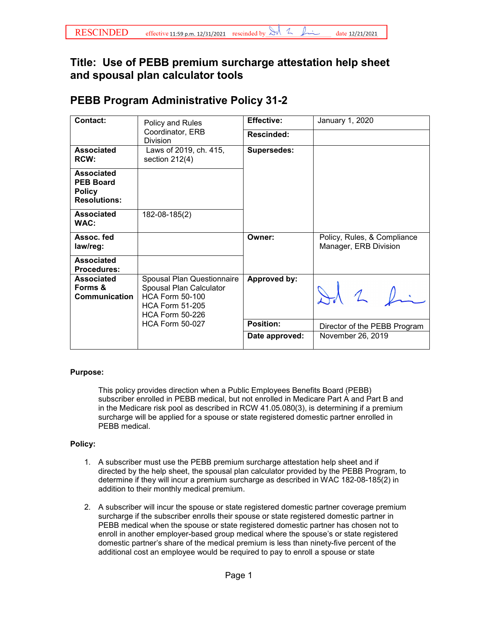## **Title: Use of PEBB premium surcharge attestation help sheet and spousal plan calculator tools**

## **PEBB Program Administrative Policy 31-2**

| <b>Contact:</b>                                                               | Policy and Rules<br>Coordinator, ERB<br>Division                                                                                    | <b>Effective:</b>   | January 1, 2020                                      |
|-------------------------------------------------------------------------------|-------------------------------------------------------------------------------------------------------------------------------------|---------------------|------------------------------------------------------|
|                                                                               |                                                                                                                                     | Rescinded:          |                                                      |
| Associated<br>RCW:                                                            | Laws of 2019, ch. 415,<br>section $212(4)$                                                                                          | <b>Supersedes:</b>  |                                                      |
| <b>Associated</b><br><b>PEB Board</b><br><b>Policy</b><br><b>Resolutions:</b> |                                                                                                                                     |                     |                                                      |
| Associated<br>WAC:                                                            | 182-08-185(2)                                                                                                                       |                     |                                                      |
| Assoc. fed<br>law/reg:                                                        |                                                                                                                                     | Owner:              | Policy, Rules, & Compliance<br>Manager, ERB Division |
| <b>Associated</b><br><b>Procedures:</b>                                       |                                                                                                                                     |                     |                                                      |
| <b>Associated</b><br>Forms &<br>Communication                                 | Spousal Plan Questionnaire<br>Spousal Plan Calculator<br><b>HCA Form 50-100</b><br><b>HCA Form 51-205</b><br><b>HCA Form 50-226</b> | <b>Approved by:</b> |                                                      |
|                                                                               | <b>HCA Form 50-027</b>                                                                                                              | <b>Position:</b>    | Director of the PEBB Program                         |
|                                                                               |                                                                                                                                     | Date approved:      | November 26, 2019                                    |
|                                                                               |                                                                                                                                     |                     |                                                      |

## **Purpose:**

This policy provides direction when a Public Employees Benefits Board (PEBB) subscriber enrolled in PEBB medical, but not enrolled in Medicare Part A and Part B and in the Medicare risk pool as described in RCW 41.05.080(3), is determining if a premium surcharge will be applied for a spouse or state registered domestic partner enrolled in PEBB medical.

## **Policy:**

- 1. A subscriber must use the PEBB premium surcharge attestation help sheet and if directed by the help sheet, the spousal plan calculator provided by the PEBB Program, to determine if they will incur a premium surcharge as described in WAC 182-08-185(2) in addition to their monthly medical premium.
- 2. A subscriber will incur the spouse or state registered domestic partner coverage premium surcharge if the subscriber enrolls their spouse or state registered domestic partner in PEBB medical when the spouse or state registered domestic partner has chosen not to enroll in another employer-based group medical where the spouse's or state registered domestic partner's share of the medical premium is less than ninety-five percent of the additional cost an employee would be required to pay to enroll a spouse or state